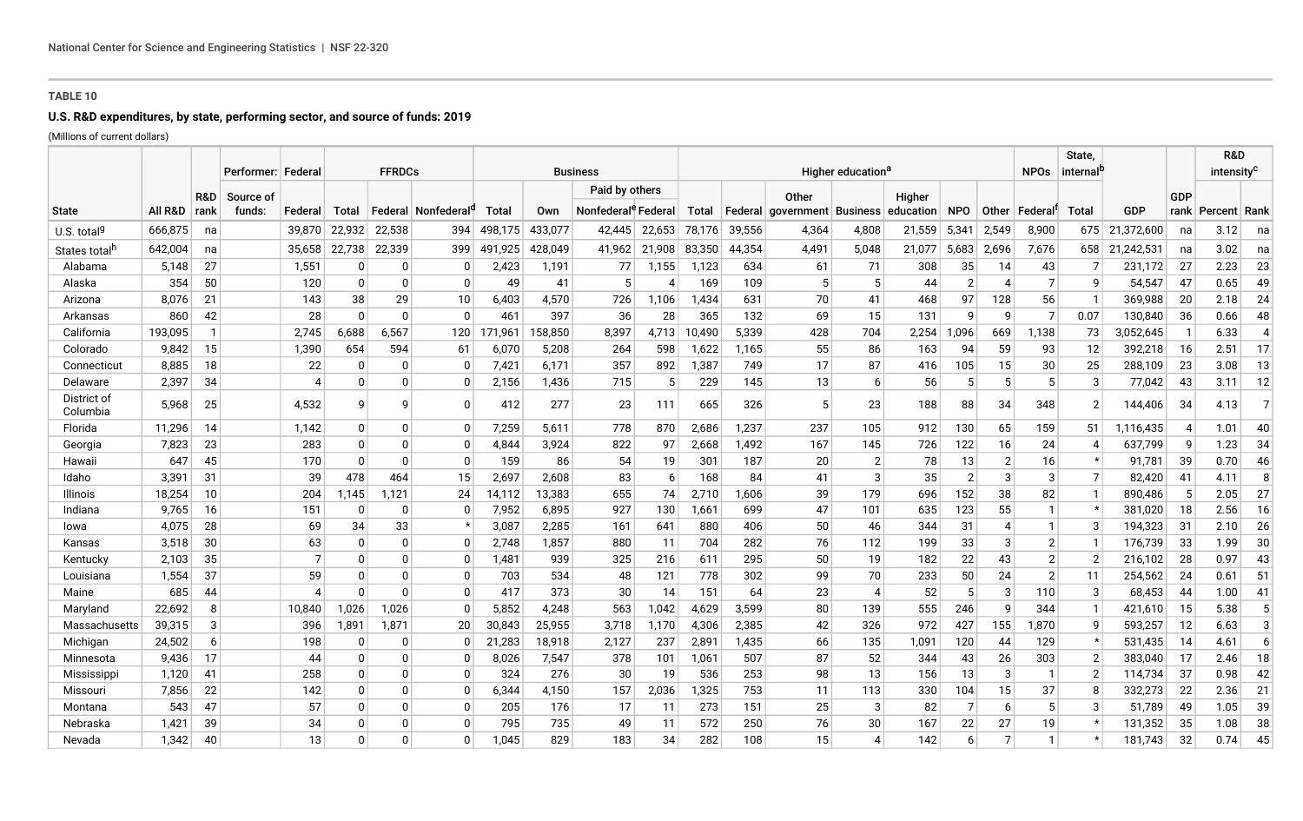## **TABLE 10**

# **U.S. R&D expenditures, by state, performing sector, and source of funds: 2019**

(Millions of current dollars)

|                           |         | <b>FFRDCs</b><br>Performer: Federal<br><b>Business</b><br>Higher education <sup>a</sup> |                     |                |          |              |                      |         |         |                                                   |        |        | <b>NPOs</b> | State,<br>'internal                        |                |                     | R&D<br>intensity <sup>c</sup> |                |                 |                |                |     |                     |                |
|---------------------------|---------|-----------------------------------------------------------------------------------------|---------------------|----------------|----------|--------------|----------------------|---------|---------|---------------------------------------------------|--------|--------|-------------|--------------------------------------------|----------------|---------------------|-------------------------------|----------------|-----------------|----------------|----------------|-----|---------------------|----------------|
| <b>State</b>              | All R&D | R&D<br>rank                                                                             | Source of<br>funds: | Federal        | Total    |              | Federal   Nonfederal | Total   | Own     | Paid by others<br>Nonfederal <sup>e</sup> Federal |        | Total  |             | Other<br>  Federal   government   Business |                | Higher<br>education | <b>NPO</b>                    |                | Other   Federal | Total          | <b>GDP</b>     | GDP | rank∣ Percent∣ Rank |                |
| U.S. total <sup>g</sup>   | 666,875 | na                                                                                      |                     | 39,870         | 22,932   | 22,538       | 394                  | 498.175 | 433,077 | 42,445                                            | 22,653 | 78,176 | 39,556      | 4,364                                      | 4,808          | 21,559              | 5,341                         | 2,549          | 8,900           |                | 675 21,372,600 | na  | 3.12                | na             |
| States total <sup>h</sup> | 642,004 | na                                                                                      |                     | 35.658         | 22,738   | 22,339       | 399                  | 491.925 | 428.049 | 41.962                                            | 21.908 | 83,350 | 44.354      | 4,491                                      | 5,048          | 21,077              | 5.683                         | 2.696          | 7.676           |                | 658 21,242,531 | na  | 3.02                | na             |
| Alabama                   | 5,148   | 27                                                                                      |                     | 1,551          | 0        | 0            | <sup>0</sup>         | 2,423   | 1,191   | 77                                                | 1,155  | 1,123  | 634         | 61                                         | 71             | 308                 | 35                            | 14             | 43              |                | 231,172        | 27  | 2.23                | 23             |
| Alaska                    | 354     | 50                                                                                      |                     | 120            | $\Omega$ | $\mathbf{0}$ | $\Omega$             | 49      | 41      | 5                                                 |        | 169    | 109         | 5                                          | 5              | 44                  | $\overline{2}$                | $\overline{A}$ | 7               | 9              | 54,547         | 47  | 0.65                | 49             |
| Arizona                   | 8,076   | 21                                                                                      |                     | 143            | 38       | 29           | 10                   | 6,403   | 4,570   | 726                                               | 1,106  | 1,434  | 631         | 70                                         | 41             | 468                 | 97                            | 128            | 56              |                | 369,988        | 20  | 2.18                | 24             |
| Arkansas                  | 860     | 42                                                                                      |                     | 28             | $\Omega$ | 0            | $\Omega$             | 461     | 397     | 36                                                | 28     | 365    | 132         | 69                                         | 15             | 131                 | 9                             | 9              | 7               | 0.07           | 130,840        | 36  | 0.66                | 48             |
| California                | 193,095 | 1                                                                                       |                     | 2,745          | 6,688    | 6,567        | 120                  | 171,961 | 158,850 | 8,397                                             | 4,713  | 10,490 | 5,339       | 428                                        | 704            | 2,254               | .096                          | 669            | 1,138           | 73             | 3,052,645      |     | 6.33                | 4              |
| Colorado                  | 9.842   | 15                                                                                      |                     | 1.390          | 654      | 594          | 61                   | 6,070   | 5.208   | 264                                               | 598    | 1.622  | 1.165       | 55                                         | 86             | 163                 | 94                            | 59             | 93              | 12             | 392,218        | 16  | 2.51                | 17             |
| Connecticut               | 8,885   | 18                                                                                      |                     | 22             | $\Omega$ |              | C                    | 7,421   | 6,171   | 357                                               | 892    | 1,387  | 749         | 17                                         | 87             | 416                 | 105                           | 15             | 30              | 25             | 288,109        | 23  | 3.08                | 13             |
| Delaware                  | 2,397   | 34                                                                                      |                     |                | $\Omega$ |              | $\Omega$             | 2,156   | 1,436   | 715                                               | 5      | 229    | 145         | 13                                         | 6              | 56                  | 5                             | 5              |                 | 3              | 77.042         | 43  | 3.11                | 12             |
| District of<br>Columbia   | 5.968   | 25                                                                                      |                     | 4,532          | q        | 9            | <sup>0</sup>         | 412     | 277     | 23                                                | 111    | 665    | 326         | 5                                          | 23             | 188                 | 88                            | 34             | 348             | $\overline{2}$ | 144,406        | -34 | 4.13                | $\overline{7}$ |
| Florida                   | 11,296  | 14                                                                                      |                     | 1,142          | 0        | 0            | <sup>0</sup>         | 7,259   | 5,611   | 778                                               | 870    | 2,686  | .237        | 237                                        | 105            | 912                 | 130                           | 65             | 159             | 51             | 1,116,435      |     | 1.01                | 40             |
| Georgia                   | 7,823   | 23                                                                                      |                     | 283            | $\Omega$ | 0            | 0                    | 4,844   | 3,924   | 822                                               | 97     | 2,668  | 1,492       | 167                                        | 145            | 726                 | 122                           | 16             | 24              | 4              | 637,799        | - 9 | 1.23                | 34             |
| Hawaii                    | 647     | 45                                                                                      |                     | 170            | $\Omega$ | $\Omega$     | $\Omega$             | 159     | 86      | 54                                                | 19     | 301    | 187         | 20                                         | $\overline{2}$ | 78                  | 13                            | $\overline{2}$ | 16              | $\star$        | 91,781         | 39  | 0.70                | 46             |
| Idaho                     | 3,391   | 31                                                                                      |                     | 39             | 478      | 464          | 15                   | 2,697   | 2,608   | 83                                                | 6      | 168    | 84          | 41                                         | 3              | 35                  | $\overline{2}$                | 3              | 3               | $\overline{7}$ | 82,420         | 41  | 4.11                | 8              |
| Illinois                  | 18,254  | 10                                                                                      |                     | 204            | 1,145    | 1,121        | 24                   | 14,112  | 13,383  | 655                                               | 74     | 2,710  | 1.606       | 39                                         | 179            | 696                 | 152                           | 38             | 82              |                | 890.486        | -5  | 2.05                | 27             |
| Indiana                   | 9,765   | 16                                                                                      |                     | 151            | 0        | 0            | 0                    | 7,952   | 6,895   | 927                                               | 130    | 1,661  | 699         | 47                                         | 101            | 635                 | 123                           | 55             |                 |                | 381,020        | 18  | 2.56                | 16             |
| lowa                      | 4,075   | 28                                                                                      |                     | 69             | 34       | 33           |                      | 3,087   | 2,285   | 161                                               | 641    | 880    | 406         | 50                                         | 46             | 344                 | 31                            | 4              | -1              | 3              | 194,323        | 31  | 2.10                | 26             |
| Kansas                    | 3,518   | 30                                                                                      |                     | 63             | $\Omega$ | 0            | <sup>0</sup>         | 2,748   | 1,857   | 880                                               | 11     | 704    | 282         | 76                                         | 112            | 199                 | 33                            | 3              | $2 \vert$       |                | 176,739        | 33  | 1.99                | 30             |
| Kentucky                  | 2,103   | 35                                                                                      |                     | $\overline{7}$ | 0        | $\Omega$     | n                    | 1,481   | 939     | 325                                               | 216    | 611    | 295         | 50                                         | 19             | 182                 | 22                            | 43             | $\overline{2}$  | $\overline{2}$ | 216,102        | 28  | 0.97                | 43             |
| Louisiana                 | 1,554   | 37                                                                                      |                     | 59             | $\Omega$ | $\mathbf{0}$ | <sup>0</sup>         | 703     | 534     | 48                                                | 121    | 778    | 302         | 99                                         | 70             | 233                 | 50                            | 24             | $\overline{2}$  | 11             | 254,562        | 24  | 0.61                | 51             |
| Maine                     | 685     | 44                                                                                      |                     | Δ              | $\Omega$ | $\mathbf{0}$ | $\Omega$             | 417     | 373     | 30                                                | 14     | 151    | 64          | 23                                         | $\overline{4}$ | 52                  | 5                             | 3              | 110             | 3              | 68,453         | 44  | 1.00                | 41             |
| Maryland                  | 22,692  | 8                                                                                       |                     | 10,840         | 1,026    | 1,026        | <sup>0</sup>         | 5,852   | 4,248   | 563                                               | 1,042  | 4,629  | 3,599       | 80                                         | 139            | 555                 | 246                           | -9             | 344             |                | 421,610        | 15  | 5.38                | 5              |
| Massachusetts             | 39,315  | 3                                                                                       |                     | 396            | 1,891    | 1,871        | 20                   | 30,843  | 25,955  | 3,718                                             | 1,170  | 4,306  | 2,385       | 42                                         | 326            | 972                 | 427                           | 155            | 1,870           | 9              | 593,257        | -12 | 6.63                | 3              |
| Michigan                  | 24,502  | 6                                                                                       |                     | 198            | 0        | 0            |                      | 21,283  | 18,918  | 2,127                                             | 237    | 2,891  | 1,435       | 66                                         | 135            | 1,091               | 120                           | 44             | 129             | $\star$        | 531,435        | -14 | 4.61                | 6              |
| Minnesota                 | 9,436   | 17                                                                                      |                     | 44             | $\Omega$ | O            | C                    | 8,026   | 7,547   | 378                                               | 101    | 1,061  | 507         | 87                                         | 52             | 344                 | 43                            | 26             | 303             | $\overline{2}$ | 383,040        | 17  | 2.46                | 18             |
| Mississippi               | 1.120   | 41                                                                                      |                     | 258            | $\Omega$ | O            | <sup>0</sup>         | 324     | 276     | 30                                                | 19     | 536    | 253         | 98                                         | 13             | 156                 | 13                            | 3              | -1              | $\overline{2}$ | 114.734        | 37  | 0.98                | 42             |
| Missouri                  | 7,856   | 22                                                                                      |                     | 142            | $\Omega$ | 0            | <sup>0</sup>         | 6,344   | 4,150   | 157                                               | 2,036  | 1,325  | 753         | 11                                         | 113            | 330                 | 104                           | 15             | 37              | 8              | 332,273        | 22  | 2.36                | 21             |
| Montana                   | 543     | 47                                                                                      |                     | 57             | $\Omega$ | 0            | O                    | 205     | 176     | 17                                                | 11     | 273    | 151         | 25                                         | 3              | 82                  | 7                             | 6              | 5               | 3              | 51,789         | -49 | 1.05                | 39             |
| Nebraska                  | 1,421   | 39                                                                                      |                     | 34             | 0        | 0            |                      | 795     | 735     | 49                                                | 11     | 572    | 250         | 76                                         | 30             | 167                 | 22                            | 27             | 19              |                | 131,352        | -35 | 1.08                | 38             |
| Nevada                    | 1,342   | 40                                                                                      |                     | 13             | O        | 0            |                      | 1,045   | 829     | 183                                               | 34     | 282    | 108         | 15                                         |                | 142                 | 6                             | $\overline{7}$ |                 |                | 181,743        | 32  | 0.74                | 45             |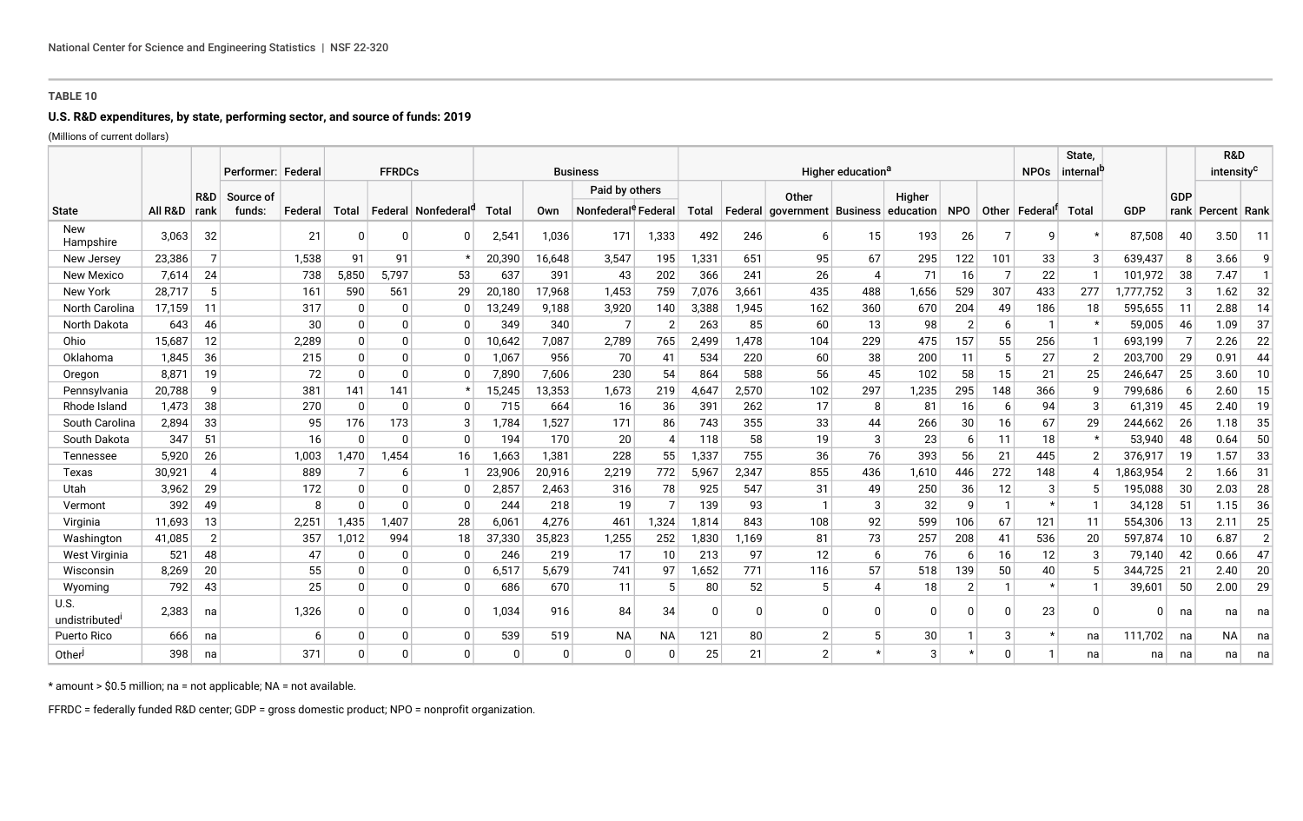## **TABLE 10**

# **U.S. R&D expenditures, by state, performing sector, and source of funds: 2019**

(Millions of current dollars)

|                              |         |                | Performer: Federa   |         | <b>FFRDCs</b> |         |            | <b>Business</b> |        |                                                   |                | Higher education <sup>a</sup> |          |                     |                 |                     |                |          |                 | State,<br>internal <sup>p</sup> |           |                |                       | R&D<br>intensity <sup>c</sup> |  |
|------------------------------|---------|----------------|---------------------|---------|---------------|---------|------------|-----------------|--------|---------------------------------------------------|----------------|-------------------------------|----------|---------------------|-----------------|---------------------|----------------|----------|-----------------|---------------------------------|-----------|----------------|-----------------------|-------------------------------|--|
| <b>State</b>                 | All R&D | R&D<br>rank    | Source of<br>funds: | Federal | Total         | Federal | Nonfederal | Total           | Own    | Paid by others<br>Nonfederal <sup>e</sup> Federal |                | Total                         | Federal  | Other<br>government | <b>Business</b> | Higher<br>education | <b>NPO</b>     |          | Other   Federal | <b>Total</b>                    | GDP       | GDP            | rank   Percent   Rank |                               |  |
| <b>New</b><br>Hampshire      | 3,063   | 32             |                     | 21      | <sup>0</sup>  |         | O          | 2,541           | 1,036  | 171                                               | 1,333          | 492                           | 246      | 6                   | 15              | 193                 | 26             | 7        | q               | $\star$                         | 87,508    | 40             | 3.50                  | 11                            |  |
| New Jersey                   | 23,386  | $\overline{7}$ |                     | 1,538   | 91            | 91      |            | 20,390          | 16,648 | 3,547                                             | 195            | 1,331                         | 651      | 95                  | 67              | 295                 | 122            | 101      | 33              | 3                               | 639,437   | 8              | 3.66                  | q                             |  |
| <b>New Mexico</b>            | 7,614   | 24             |                     | 738     | 5,850         | 5,797   | 53         | 637             | 391    | 43                                                | 202            | 366                           | 241      | 26                  | $\overline{4}$  | 71                  | 16             |          | 22              |                                 | 101,972   | 38             | 7.47                  |                               |  |
| New York                     | 28.717  | 5              |                     | 161     | 590           | 561     | 29         | 20,180          | 17,968 | 1.453                                             | 759            | 7,076                         | 3,661    | 435                 | 488             | 1,656               | 529            | 307      | 433             | 277                             | ,777,752  | -3             | 1.62                  | 32                            |  |
| North Carolina               | 17,159  | 11             |                     | 317     | $\Omega$      |         | 0          | 13,249          | 9,188  | 3,920                                             | 140            | 3,388                         | 1,945    | 162                 | 360             | 670                 | 204            | 49       | 186             | 18                              | 595,655   | -11            | 2.88                  | 14                            |  |
| North Dakota                 | 643     | 46             |                     | 30      | $\Omega$      |         | $\Omega$   | 349             | 340    | $\overline{7}$                                    | $\overline{2}$ | 263                           | 85       | 60                  | 13              | 98                  | $\overline{2}$ | 6        |                 | $\star$                         | 59,005    | 46             | 1.09                  | 37                            |  |
| Ohio                         | 15,687  | 12             |                     | 2,289   | $\Omega$      |         |            | 10,642          | 7,087  | 2,789                                             | 765            | 2,499                         | 1,478    | 104                 | 229             | 475                 | 157            | 55       | 256             |                                 | 693,199   |                | 2.26                  | 22                            |  |
| Oklahoma                     | 1,845   | 36             |                     | 215     | $\Omega$      |         | 0          | 1,067           | 956    | 70                                                | 41             | 534                           | 220      | 60                  | 38              | 200                 | 11             | 5        | 27              | $\overline{2}$                  | 203,700   | 29             | 0.91                  | 44                            |  |
| Oregon                       | 8,871   | 19             |                     | 72      | $\Omega$      |         |            | 7,890           | 7,606  | 230                                               | 54             | 864                           | 588      | 56                  | 45              | 102                 | 58             | 15       | 21              | 25                              | 246,647   | 25             | 3.60                  | 10                            |  |
| Pennsylvania                 | 20,788  | 9              |                     | 381     | 141           | 141     |            | 15,245          | 13,353 | 1,673                                             | 219            | 4,647                         | 2,570    | 102                 | 297             | 1,235               | 295            | 148      | 366             | 9                               | 799,686   | - 6            | 2.60                  | 15                            |  |
| Rhode Island                 | 1,473   | 38             |                     | 270     | $\Omega$      |         | $\Omega$   | 715             | 664    | 16                                                | 36             | 391                           | 262      | 17                  | 8               | 81                  | 16             | -6       | 94              | 3                               | 61,319    | 45             | 2.40                  | 19                            |  |
| South Carolina               | 2,894   | 33             |                     | 95      | 176           | 173     | 3          | 1,784           | 1,527  | 171                                               | 86             | 743                           | 355      | 33                  | 44              | 266                 | 30             | 16       | 67              | 29                              | 244,662   | 26             | 1.18                  | 35                            |  |
| South Dakota                 | 347     | 51             |                     | 16      | $\Omega$      |         | $\Omega$   | 194             | 170    | 20                                                |                | 118                           | 58       | 19                  | 3               | 23                  | 6              | 11       | 18              |                                 | 53,940    | 48             | 0.64                  | 50                            |  |
| Tennessee                    | 5,920   | 26             |                     | 1,003   | 1,470         | 1,454   | 16         | 1,663           | 1,381  | 228                                               | 55             | 1,337                         | 755      | 36                  | 76              | 393                 | 56             | 21       | 445             | $\overline{2}$                  | 376,917   | -19            | .57                   | 33                            |  |
| Texas                        | 30,921  | $\overline{4}$ |                     | 889     |               | 6       |            | 23,906          | 20,916 | 2,219                                             | 772            | 5,967                         | 2,347    | 855                 | 436             | 1,610               | 446            | 272      | 148             |                                 | 1,863,954 | $\overline{2}$ | 1.66                  | 31                            |  |
| Utah                         | 3,962   | 29             |                     | 172     | 0             |         |            | 2,857           | 2,463  | 316                                               | 78             | 925                           | 547      | 31                  | 49              | 250                 | 36             | 12       | 3               | -5                              | 195,088   | 30             | 2.03                  | 28                            |  |
| Vermont                      | 392     | 49             |                     | -8      | $\Omega$      |         | 0          | 244             | 218    | 19                                                | $\overline{ }$ | 139                           | 93       |                     | 3               | 32                  | 9              |          | $\star$         |                                 | 34,128    | -51            | 1.15                  | 36                            |  |
| Virginia                     | 11,693  | 13             |                     | 2,251   | 1,435         | 1,407   | 28         | 6,061           | 4,276  | 461                                               | 1,324          | 1,814                         | 843      | 108                 | 92              | 599                 | 106            | 67       | 121             | -11                             | 554,306   | -13            | 2.11                  | 25                            |  |
| Washington                   | 41.085  | $\overline{2}$ |                     | 357     | 1,012         | 994     | 18         | 37,330          | 35,823 | 1,255                                             | 252            | 1,830                         | .169     | 81                  | 73              | 257                 | 208            | 41       | 536             | 20                              | 597,874   | 10             | 6.87                  | 2                             |  |
| West Virginia                | 521     | 48             |                     | 47      | $\Omega$      |         | $\Omega$   | 246             | 219    | 17                                                | 10             | 213                           | 97       | 12                  | 6               | 76                  | 6              | 16       | 12              | 3                               | 79,140    | 42             | 0.66                  | 47                            |  |
| Wisconsin                    | 8.269   | 20             |                     | 55      | $\Omega$      |         | 0          | 6,517           | 5.679  | 741                                               | 97             | 1.652                         | 771      | 116                 | 57              | 518                 | 139            | 50       | 40              | -5                              | 344.725   | 21             | 2.40                  | 20                            |  |
| Wyoming                      | 792     | 43             |                     | 25      | $\Omega$      |         | $\Omega$   | 686             | 670    | 11                                                | 5              | 80                            | 52       | .5                  |                 | 18                  | 2 <sub>1</sub> |          | $\star$         |                                 | 39,601    | 50             | 2.00                  | 29                            |  |
| <b>U.S.</b><br>undistributed | 2,383   | na             |                     | 1,326   | $\Omega$      |         |            | 1,034           | 916    | 84                                                | 34             |                               | $\Omega$ |                     | $\Omega$        | 0                   | 0              | $\Omega$ | 23              | $\Omega$                        | O         | na             | na                    | na                            |  |
| Puerto Rico                  | 666     | na             |                     | -6      | $\Omega$      |         | 0          | 539             | 519    | <b>NA</b>                                         | NA             | 121                           | 80       | 2                   | 5               | 30                  |                | 3        | $\star$         | na                              | 111.702   | na             | ΝA                    | na                            |  |
| Other                        | 398     | na             |                     | 371     | $\Omega$      |         | 0          | $\Omega$        | O      | $\Omega$                                          | $\Omega$       | 25                            | 21       | $\overline{2}$      |                 | 3                   |                | $\Omega$ |                 | na                              | na        | na             | na                    | na                            |  |

\* amount > \$0.5 million; na = not applicable; NA = not available.

FFRDC = federally funded R&D center; GDP = gross domestic product; NPO = nonprofit organization.